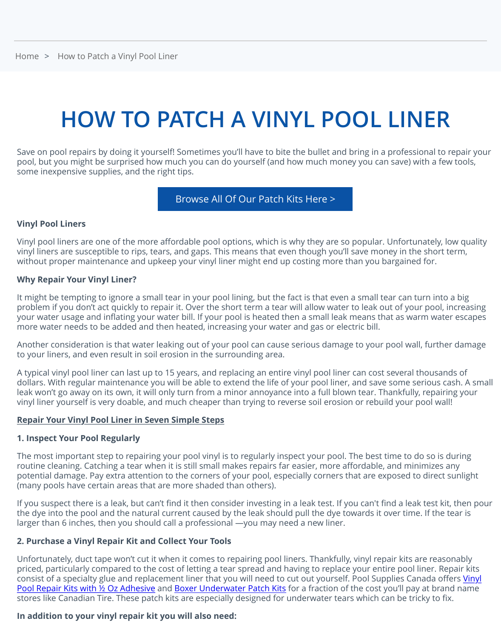### **HOW TO PATCH A VINYL POOL LIN**

[Save o](https://www.poolsuppliescanada.ca/)n p[ool repairs by doing it yourself! S](https://www.poolsuppliescanada.ca/how-to-patch-a-vinyl-pool-liner.html#)ometimes you'll have to bite the bullet and bring in a profession pool, but you might be surprised how much you can do yourself (and how much money you can save) wit some inexpensive supplies, and the right tips.

#### Browse All Of Our Patch Kits Here >

#### **Vinyl Pool Liners**

Vinyl pool liners are one of the more affordable pool options, which is why they are so popular. Unfortunation vinyl liners are susceptible to rips, tears, and gaps. This means that even though you'll save money in the short te without proper maintenance and upkeep your vinyl liner might end up costing more than you bargained for.

#### **Why Repair Your Vinyl Liner?**

It might be tempting to ignore a sm[all tear in your pool lining, but the fact is that even a](https://www.poolsuppliescanada.ca/accessories/vinyl-pool-liner-patches/) small tear can tur problem if you don't act quickly to repair it. Over the short term a tear will allow water to leak out of your your water usage and inflating your water bill. If your pool is heated then a small leak means that as warn more water needs to be added and then heated, increasing your water and gas or electric bill.

Another consideration is that water leaking out of your pool can cause serious damage to your pool wall, further to your liners, and even result in soil erosion in the surrounding area.

A typical vinyl pool liner can last up to 15 years, and replacing an entire vinyl pool liner can cost several the dollars. With regular maintenance you will be able to extend the life of your pool liner, and save some serious leak won't go away on its own, it will only turn from a minor annoyance into a full blown tear. Thankfully, r vinyl liner yourself is very doable, and much cheaper than trying to reverse soil erosion or rebuild your pool

#### **Repair Your Vinyl Pool Liner in Seven Simple Steps**

#### **1. Inspect Your Pool Regularly**

The most important step to repairing your pool vinyl is to regularly inspect your pool. The best time to do routine cleaning. Catching a tear when it is still small makes repairs far easier, more affordable, and minin potential damage. Pay extra attention to the corners of your pool, especially corners that are exposed to dire (many pools have certain areas that are more shaded than others).

If you suspect there is a leak, but can't find it then consider investing in a leak test. If you can't find a leak t the dye into the pool and the natural current caused by the leak should pull the dye towards it over time. larger than 6 inches, then you should call a professional —you may need a new liner.

#### **2. Purchase a Vinyl Repair Kit and Collect Your Tools**

Unfortunately, duct tape won't cut it when it comes to repairing pool liners. Thankfully, vinyl repair kits are priced, particularly compared to the cost of letting a tear spread and having to replace your entire pool line consist of a specialty glue and replacement liner that you will need to cut out yourself. Pool Supplies Cana Pool Repair Kits with ½ Oz Adhesive and Boxer Underwater Patch Kits for a fraction of the cost you'll pay at brand name name. stores like Canadian Tire. These patch kits are especially designed for underwater tears which can be trick

#### **In addition to your vinyl repair kit you will also need:**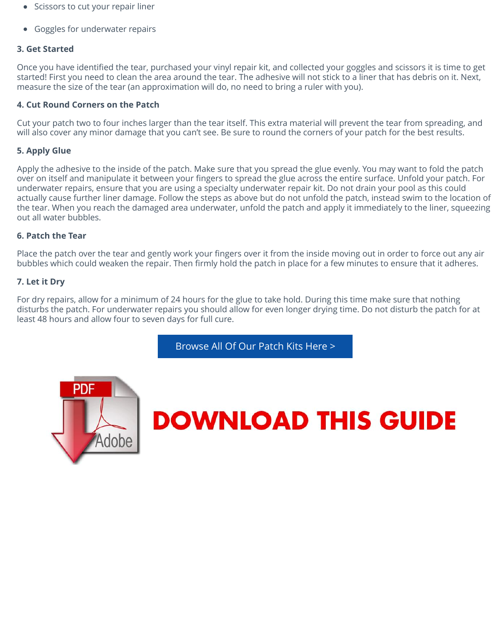measure the size of the tear (an approximation will do, no need to bring a ruler with you).

#### **4. Cut Round Corners on the Patch**

Cut your patch two to four inches larger than the tear itself. This extra material will prevent the tear from will also cover any minor damage that you can't see. Be sure to round the corners of your patch for the be

#### **5. Apply Glue**

Apply the adhesive to the inside of the patch. Make sure that you spread the glue evenly. You may want to over on itself and manipulate it between your fingers to spread the glue across the entire surface. Unfold underwater repairs, ensure that you are using a specialty underwater repair kit. Do not drain your pool as actually cause further liner damage. Follow the steps as above but do not unfold the patch, instead swim to the tear. When you reach the damaged area underwater, unfold the patch and apply it immediately to the out all water bubbles.

#### **6. Patch the Tear**

Place the patch over the tear and gently work your fingers over it from the inside moving out in order to for bubbles which could weaken the repair. Then firmly hold the patch in place for a few minutes to ensure that it

#### **7. Let it Dry**

For dry repairs, allow for a minimum of 24 hours for the glue to take hold. During this time make sure that disturbs the patch. For underwater repairs you should allow for even longer drying time. Do not disturb the patch for least 48 hours and allow four to seven days for full cure.

Browse All Of Our Patch Kits Here >



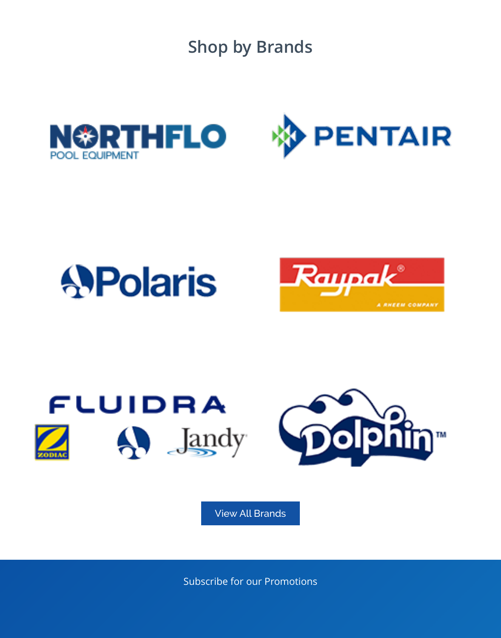



# **APolaris**



# FLUIDRA  $\bigwedge$   $\bigcup$   $\bigcup$   $\bigcup$   $\bigcup$   $\bigcup$



[View All](https://www.poolsuppliescanada.ca/zodiac.html) [Brands](https://www.poolsuppliescanada.ca/dolphin.html)

Subscribe for our Promotions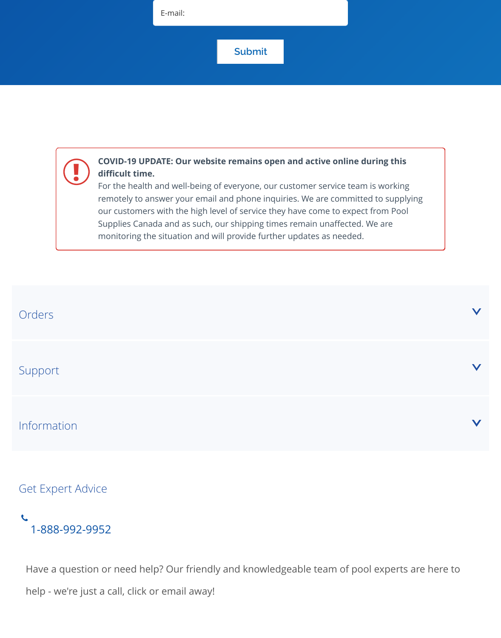## **!**

#### **COVID-19 UPDATE: Our website remains open and active online during this difficult time.**

For the health and well-being of everyone, our customer service team is working remotely to answer your email and phone inquiries. We are committed to supplying our customers with the high level of service they have come to expect from Pool Supplies Canada and as such, our shipping times remain unaffected. We are monitoring the situation and will provide further updates as needed.

| Orders                   |  |
|--------------------------|--|
| Support                  |  |
| Information              |  |
| <b>Get Expert Advice</b> |  |

**1** [1-888-992-9952](https://www.poolsuppliescanada.ca/service-referral-network.html)

Have a question or need help? Our friendly and knowledgeable team of pool experts are help - we're just a call, click or email away!